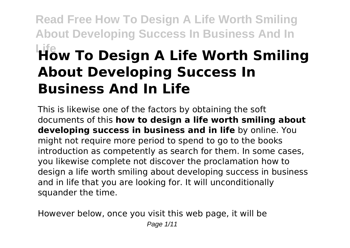**Read Free How To Design A Life Worth Smiling About Developing Success In Business And In**

# **Life How To Design A Life Worth Smiling About Developing Success In Business And In Life**

This is likewise one of the factors by obtaining the soft documents of this **how to design a life worth smiling about developing success in business and in life** by online. You might not require more period to spend to go to the books introduction as competently as search for them. In some cases, you likewise complete not discover the proclamation how to design a life worth smiling about developing success in business and in life that you are looking for. It will unconditionally squander the time.

However below, once you visit this web page, it will be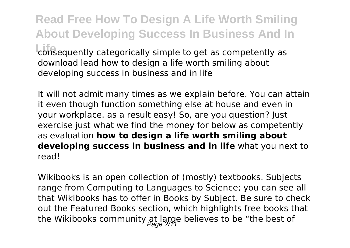**Read Free How To Design A Life Worth Smiling About Developing Success In Business And In Lonsequently categorically simple to get as competently as** download lead how to design a life worth smiling about developing success in business and in life

It will not admit many times as we explain before. You can attain it even though function something else at house and even in your workplace. as a result easy! So, are you question? Just exercise just what we find the money for below as competently as evaluation **how to design a life worth smiling about developing success in business and in life** what you next to read!

Wikibooks is an open collection of (mostly) textbooks. Subjects range from Computing to Languages to Science; you can see all that Wikibooks has to offer in Books by Subject. Be sure to check out the Featured Books section, which highlights free books that the Wikibooks community at large believes to be "the best of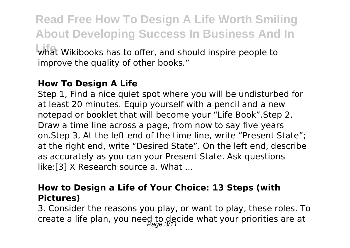**Read Free How To Design A Life Worth Smiling About Developing Success In Business And In** what Wikibooks has to offer, and should inspire people to improve the quality of other books."

# **How To Design A Life**

Step 1, Find a nice quiet spot where you will be undisturbed for at least 20 minutes. Equip yourself with a pencil and a new notepad or booklet that will become your "Life Book".Step 2, Draw a time line across a page, from now to say five years on.Step 3, At the left end of the time line, write "Present State"; at the right end, write "Desired State". On the left end, describe as accurately as you can your Present State. Ask questions like:[3] X Research source a. What ...

### **How to Design a Life of Your Choice: 13 Steps (with Pictures)**

3. Consider the reasons you play, or want to play, these roles. To create a life plan, you need to decide what your priorities are at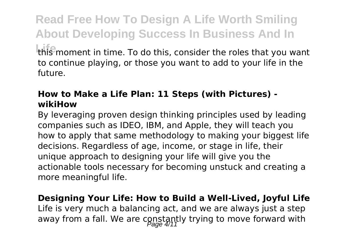**Read Free How To Design A Life Worth Smiling About Developing Success In Business And In** this moment in time. To do this, consider the roles that you want to continue playing, or those you want to add to your life in the future.

# **How to Make a Life Plan: 11 Steps (with Pictures) wikiHow**

By leveraging proven design thinking principles used by leading companies such as IDEO, IBM, and Apple, they will teach you how to apply that same methodology to making your biggest life decisions. Regardless of age, income, or stage in life, their unique approach to designing your life will give you the actionable tools necessary for becoming unstuck and creating a more meaningful life.

**Designing Your Life: How to Build a Well-Lived, Joyful Life** Life is very much a balancing act, and we are always just a step away from a fall. We are constantly trying to move forward with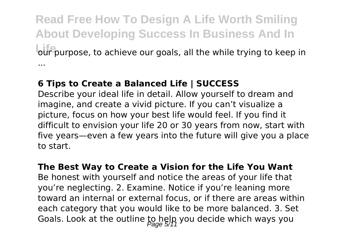**Read Free How To Design A Life Worth Smiling About Developing Success In Business And In Life** our purpose, to achieve our goals, all the while trying to keep in ...

#### **6 Tips to Create a Balanced Life | SUCCESS**

Describe your ideal life in detail. Allow yourself to dream and imagine, and create a vivid picture. If you can't visualize a picture, focus on how your best life would feel. If you find it difficult to envision your life 20 or 30 years from now, start with five years—even a few years into the future will give you a place to start.

#### **The Best Way to Create a Vision for the Life You Want**

Be honest with yourself and notice the areas of your life that you're neglecting. 2. Examine. Notice if you're leaning more toward an internal or external focus, or if there are areas within each category that you would like to be more balanced. 3. Set Goals. Look at the outline to help you decide which ways you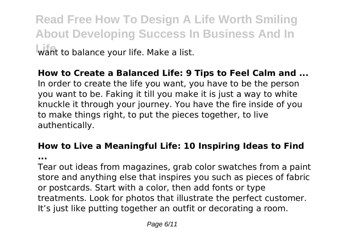**Read Free How To Design A Life Worth Smiling About Developing Success In Business And In** want to balance your life. Make a list.

# **How to Create a Balanced Life: 9 Tips to Feel Calm and ...** In order to create the life you want, you have to be the person you want to be. Faking it till you make it is just a way to white knuckle it through your journey. You have the fire inside of you to make things right, to put the pieces together, to live authentically.

### **How to Live a Meaningful Life: 10 Inspiring Ideas to Find ...**

Tear out ideas from magazines, grab color swatches from a paint store and anything else that inspires you such as pieces of fabric or postcards. Start with a color, then add fonts or type treatments. Look for photos that illustrate the perfect customer. It's just like putting together an outfit or decorating a room.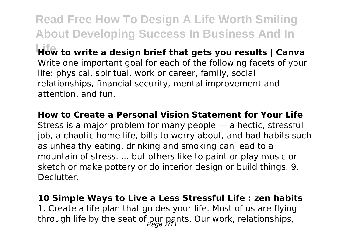**Read Free How To Design A Life Worth Smiling About Developing Success In Business And In How** to write a design brief that gets you results | Canva Write one important goal for each of the following facets of your life: physical, spiritual, work or career, family, social relationships, financial security, mental improvement and attention, and fun.

**How to Create a Personal Vision Statement for Your Life** Stress is a major problem for many people — a hectic, stressful job, a chaotic home life, bills to worry about, and bad habits such as unhealthy eating, drinking and smoking can lead to a mountain of stress. ... but others like to paint or play music or sketch or make pottery or do interior design or build things. 9. Declutter.

**10 Simple Ways to Live a Less Stressful Life : zen habits** 1. Create a life plan that guides your life. Most of us are flying

through life by the seat of our pants. Our work, relationships,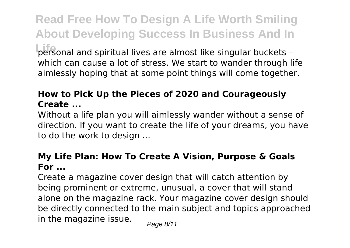**Read Free How To Design A Life Worth Smiling About Developing Success In Business And In Life** personal and spiritual lives are almost like singular buckets – which can cause a lot of stress. We start to wander through life aimlessly hoping that at some point things will come together.

# **How to Pick Up the Pieces of 2020 and Courageously Create ...**

Without a life plan you will aimlessly wander without a sense of direction. If you want to create the life of your dreams, you have to do the work to design ...

### **My Life Plan: How To Create A Vision, Purpose & Goals For ...**

Create a magazine cover design that will catch attention by being prominent or extreme, unusual, a cover that will stand alone on the magazine rack. Your magazine cover design should be directly connected to the main subject and topics approached in the magazine issue.  $P_{\text{face } 8/11}$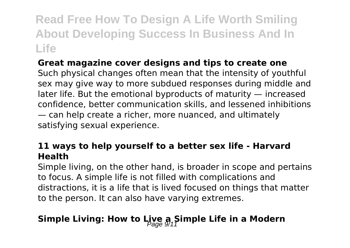**Read Free How To Design A Life Worth Smiling About Developing Success In Business And In Life**

# **Great magazine cover designs and tips to create one**

Such physical changes often mean that the intensity of youthful sex may give way to more subdued responses during middle and later life. But the emotional byproducts of maturity — increased confidence, better communication skills, and lessened inhibitions — can help create a richer, more nuanced, and ultimately satisfying sexual experience.

#### **11 ways to help yourself to a better sex life - Harvard Health**

Simple living, on the other hand, is broader in scope and pertains to focus. A simple life is not filled with complications and distractions, it is a life that is lived focused on things that matter to the person. It can also have varying extremes.

# Simple Living: How to Live a Simple Life in a Modern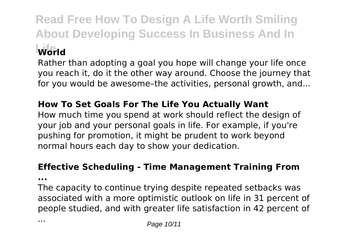**Read Free How To Design A Life Worth Smiling About Developing Success In Business And In Life World**

Rather than adopting a goal you hope will change your life once you reach it, do it the other way around. Choose the journey that for you would be awesome–the activities, personal growth, and...

# **How To Set Goals For The Life You Actually Want**

How much time you spend at work should reflect the design of your job and your personal goals in life. For example, if you're pushing for promotion, it might be prudent to work beyond normal hours each day to show your dedication.

# **Effective Scheduling - Time Management Training From**

**...**

The capacity to continue trying despite repeated setbacks was associated with a more optimistic outlook on life in 31 percent of people studied, and with greater life satisfaction in 42 percent of